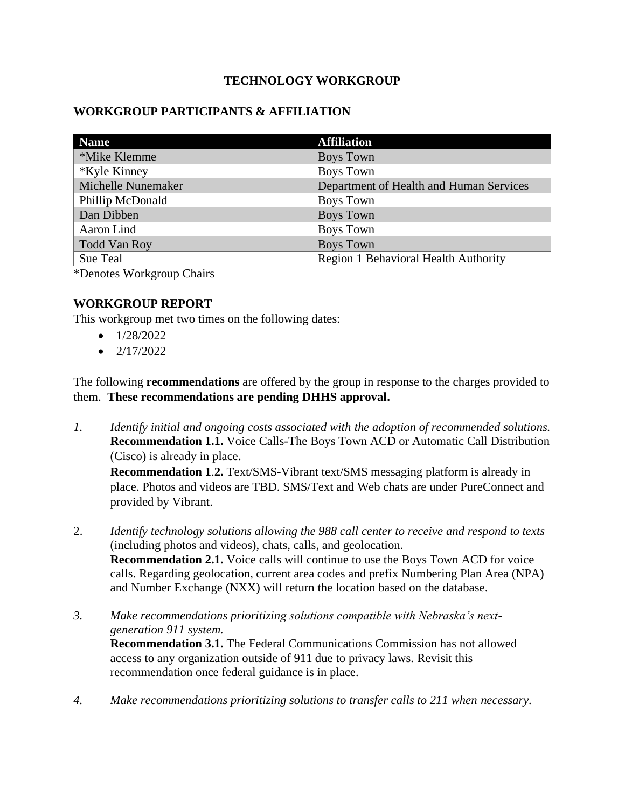### **TECHNOLOGY WORKGROUP**

### **WORKGROUP PARTICIPANTS & AFFILIATION**

| <b>Name</b>         | <b>Affiliation</b>                      |
|---------------------|-----------------------------------------|
| *Mike Klemme        | <b>Boys Town</b>                        |
| *Kyle Kinney        | <b>Boys Town</b>                        |
| Michelle Nunemaker  | Department of Health and Human Services |
| Phillip McDonald    | <b>Boys Town</b>                        |
| Dan Dibben          | <b>Boys Town</b>                        |
| Aaron Lind          | <b>Boys Town</b>                        |
| <b>Todd Van Roy</b> | <b>Boys Town</b>                        |
| Sue Teal            | Region 1 Behavioral Health Authority    |

\*Denotes Workgroup Chairs

### **WORKGROUP REPORT**

This workgroup met two times on the following dates:

- $\bullet$  1/28/2022
- $\bullet$  2/17/2022

The following **recommendations** are offered by the group in response to the charges provided to them. **These recommendations are pending DHHS approval.**

*1. Identify initial and ongoing costs associated with the adoption of recommended solutions.* **Recommendation 1.1.** Voice Calls-The Boys Town ACD or Automatic Call Distribution (Cisco) is already in place.

**Recommendation 1**.**2.** Text/SMS-Vibrant text/SMS messaging platform is already in place. Photos and videos are TBD. SMS/Text and Web chats are under PureConnect and provided by Vibrant.

- 2. *Identify technology solutions allowing the 988 call center to receive and respond to texts* (including photos and videos), chats, calls, and geolocation. **Recommendation 2.1.** Voice calls will continue to use the Boys Town ACD for voice calls. Regarding geolocation, current area codes and prefix Numbering Plan Area (NPA) and Number Exchange (NXX) will return the location based on the database.
- *3. Make recommendations prioritizing solutions compatible with Nebraska's nextgeneration 911 system.*

**Recommendation 3.1.** The Federal Communications Commission has not allowed access to any organization outside of 911 due to privacy laws. Revisit this recommendation once federal guidance is in place.

*4. Make recommendations prioritizing solutions to transfer calls to 211 when necessary.*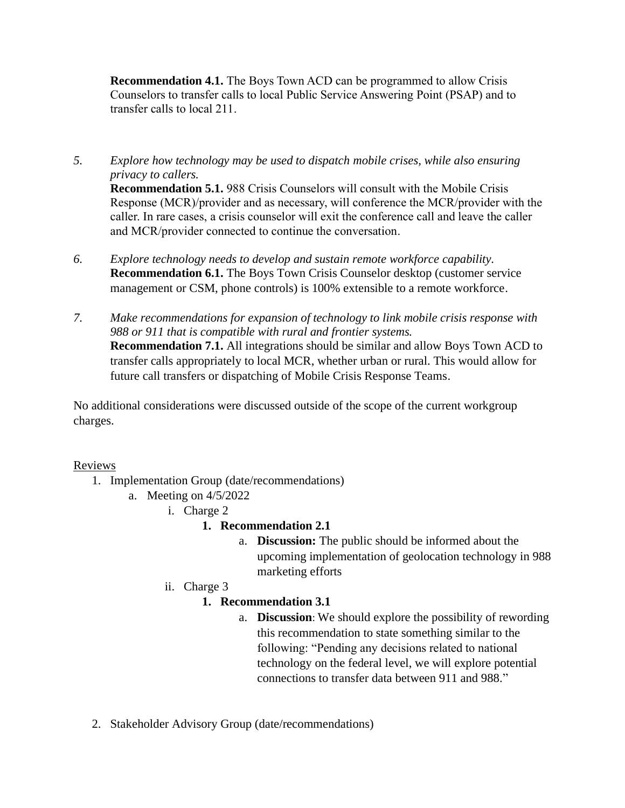**Recommendation 4.1.** The Boys Town ACD can be programmed to allow Crisis Counselors to transfer calls to local Public Service Answering Point (PSAP) and to transfer calls to local 211.

- *5. Explore how technology may be used to dispatch mobile crises, while also ensuring privacy to callers.* **Recommendation 5.1.** 988 Crisis Counselors will consult with the Mobile Crisis Response (MCR)/provider and as necessary, will conference the MCR/provider with the caller. In rare cases, a crisis counselor will exit the conference call and leave the caller and MCR/provider connected to continue the conversation.
- *6. Explore technology needs to develop and sustain remote workforce capability.*  **Recommendation 6.1.** The Boys Town Crisis Counselor desktop (customer service management or CSM, phone controls) is 100% extensible to a remote workforce.
- *7. Make recommendations for expansion of technology to link mobile crisis response with 988 or 911 that is compatible with rural and frontier systems.*  **Recommendation 7.1.** All integrations should be similar and allow Boys Town ACD to transfer calls appropriately to local MCR, whether urban or rural. This would allow for future call transfers or dispatching of Mobile Crisis Response Teams.

No additional considerations were discussed outside of the scope of the current workgroup charges.

# Reviews

- 1. Implementation Group (date/recommendations)
	- a. Meeting on 4/5/2022
		- i. Charge 2

### **1. Recommendation 2.1**

- a. **Discussion:** The public should be informed about the upcoming implementation of geolocation technology in 988 marketing efforts
- ii. Charge 3

# **1. Recommendation 3.1**

- a. **Discussion**: We should explore the possibility of rewording this recommendation to state something similar to the following: "Pending any decisions related to national technology on the federal level, we will explore potential connections to transfer data between 911 and 988."
- 2. Stakeholder Advisory Group (date/recommendations)